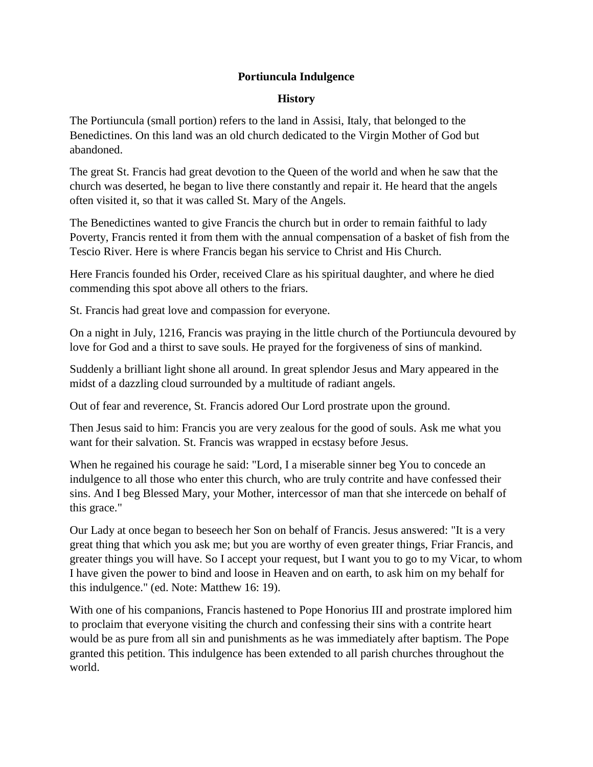## **Portiuncula Indulgence**

## **History**

The Portiuncula (small portion) refers to the land in Assisi, Italy, that belonged to the Benedictines. On this land was an old church dedicated to the Virgin Mother of God but abandoned.

The great St. Francis had great devotion to the Queen of the world and when he saw that the church was deserted, he began to live there constantly and repair it. He heard that the angels often visited it, so that it was called St. Mary of the Angels.

The Benedictines wanted to give Francis the church but in order to remain faithful to lady Poverty, Francis rented it from them with the annual compensation of a basket of fish from the Tescio River. Here is where Francis began his service to Christ and His Church.

Here Francis founded his Order, received Clare as his spiritual daughter, and where he died commending this spot above all others to the friars.

St. Francis had great love and compassion for everyone.

On a night in July, 1216, Francis was praying in the little church of the Portiuncula devoured by love for God and a thirst to save souls. He prayed for the forgiveness of sins of mankind.

Suddenly a brilliant light shone all around. In great splendor Jesus and Mary appeared in the midst of a dazzling cloud surrounded by a multitude of radiant angels.

Out of fear and reverence, St. Francis adored Our Lord prostrate upon the ground.

Then Jesus said to him: Francis you are very zealous for the good of souls. Ask me what you want for their salvation. St. Francis was wrapped in ecstasy before Jesus.

When he regained his courage he said: "Lord, I a miserable sinner beg You to concede an indulgence to all those who enter this church, who are truly contrite and have confessed their sins. And I beg Blessed Mary, your Mother, intercessor of man that she intercede on behalf of this grace."

Our Lady at once began to beseech her Son on behalf of Francis. Jesus answered: "It is a very great thing that which you ask me; but you are worthy of even greater things, Friar Francis, and greater things you will have. So I accept your request, but I want you to go to my Vicar, to whom I have given the power to bind and loose in Heaven and on earth, to ask him on my behalf for this indulgence." (ed. Note: Matthew 16: 19).

With one of his companions, Francis hastened to Pope Honorius III and prostrate implored him to proclaim that everyone visiting the church and confessing their sins with a contrite heart would be as pure from all sin and punishments as he was immediately after baptism. The Pope granted this petition. This indulgence has been extended to all parish churches throughout the world.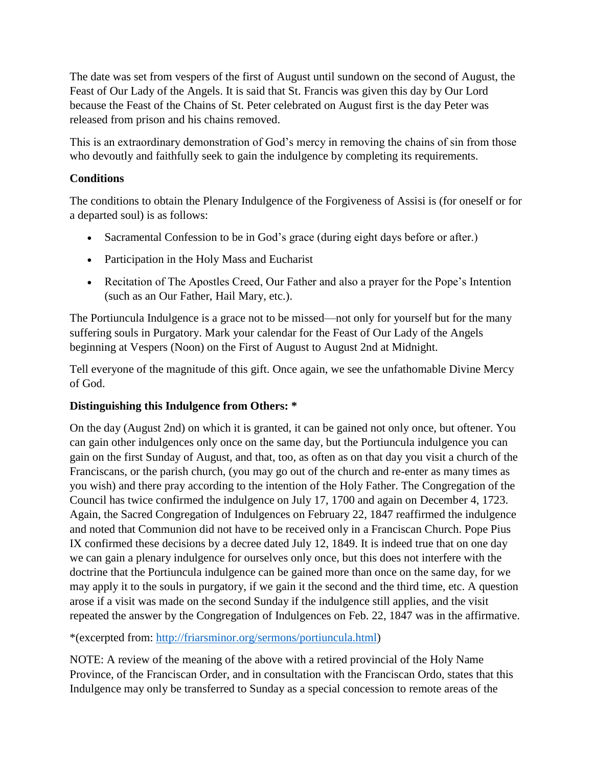The date was set from vespers of the first of August until sundown on the second of August, the Feast of Our Lady of the Angels. It is said that St. Francis was given this day by Our Lord because the Feast of the Chains of St. Peter celebrated on August first is the day Peter was released from prison and his chains removed.

This is an extraordinary demonstration of God's mercy in removing the chains of sin from those who devoutly and faithfully seek to gain the indulgence by completing its requirements.

## **Conditions**

The conditions to obtain the Plenary Indulgence of the Forgiveness of Assisi is (for oneself or for a departed soul) is as follows:

- Sacramental Confession to be in God's grace (during eight days before or after.)
- Participation in the Holy Mass and Eucharist
- Recitation of The Apostles Creed, Our Father and also a prayer for the Pope's Intention (such as an Our Father, Hail Mary, etc.).

The Portiuncula Indulgence is a grace not to be missed—not only for yourself but for the many suffering souls in Purgatory. Mark your calendar for the Feast of Our Lady of the Angels beginning at Vespers (Noon) on the First of August to August 2nd at Midnight.

Tell everyone of the magnitude of this gift. Once again, we see the unfathomable Divine Mercy of God.

## **Distinguishing this Indulgence from Others: \***

On the day (August 2nd) on which it is granted, it can be gained not only once, but oftener. You can gain other indulgences only once on the same day, but the Portiuncula indulgence you can gain on the first Sunday of August, and that, too, as often as on that day you visit a church of the Franciscans, or the parish church, (you may go out of the church and re-enter as many times as you wish) and there pray according to the intention of the Holy Father. The Congregation of the Council has twice confirmed the indulgence on July 17, 1700 and again on December 4, 1723. Again, the Sacred Congregation of Indulgences on February 22, 1847 reaffirmed the indulgence and noted that Communion did not have to be received only in a Franciscan Church. Pope Pius IX confirmed these decisions by a decree dated July 12, 1849. It is indeed true that on one day we can gain a plenary indulgence for ourselves only once, but this does not interfere with the doctrine that the Portiuncula indulgence can be gained more than once on the same day, for we may apply it to the souls in purgatory, if we gain it the second and the third time, etc. A question arose if a visit was made on the second Sunday if the indulgence still applies, and the visit repeated the answer by the Congregation of Indulgences on Feb. 22, 1847 was in the affirmative.

\*(excerpted from: [http://friarsminor.org/sermons/portiuncula.html\)](http://friarsminor.org/sermons/portiuncula.html)

NOTE: A review of the meaning of the above with a retired provincial of the Holy Name Province, of the Franciscan Order, and in consultation with the Franciscan Ordo, states that this Indulgence may only be transferred to Sunday as a special concession to remote areas of the